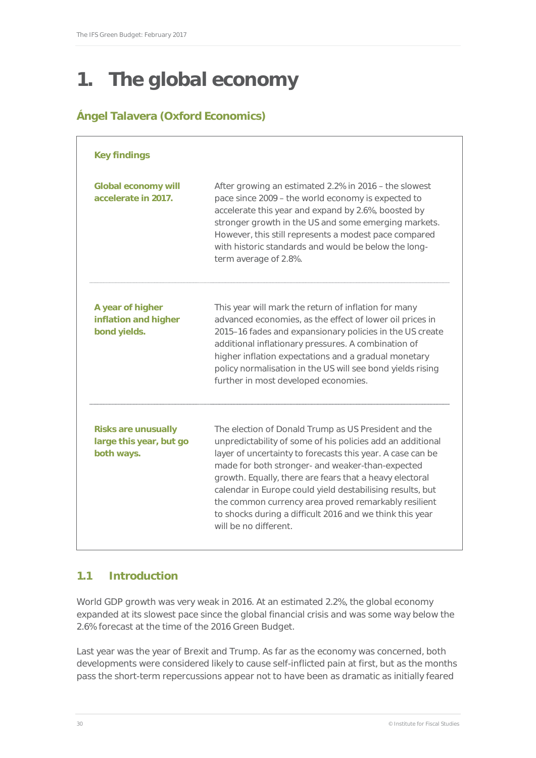# **1. The global economy**

# **Ángel Talavera (Oxford Economics)**

| <b>Key findings</b>                                                 |                                                                                                                                                                                                                                                                                                                                                                                                                                                                                                           |  |  |  |  |  |  |  |
|---------------------------------------------------------------------|-----------------------------------------------------------------------------------------------------------------------------------------------------------------------------------------------------------------------------------------------------------------------------------------------------------------------------------------------------------------------------------------------------------------------------------------------------------------------------------------------------------|--|--|--|--|--|--|--|
| <b>Global economy will</b><br>accelerate in 2017.                   | After growing an estimated 2.2% in 2016 – the slowest<br>pace since 2009 - the world economy is expected to<br>accelerate this year and expand by 2.6%, boosted by<br>stronger growth in the US and some emerging markets.<br>However, this still represents a modest pace compared<br>with historic standards and would be below the long-<br>term average of 2.8%.                                                                                                                                      |  |  |  |  |  |  |  |
| A year of higher<br>inflation and higher<br>bond yields.            | This year will mark the return of inflation for many<br>advanced economies, as the effect of lower oil prices in<br>2015-16 fades and expansionary policies in the US create<br>additional inflationary pressures. A combination of<br>higher inflation expectations and a gradual monetary<br>policy normalisation in the US will see bond yields rising<br>further in most developed economies.                                                                                                         |  |  |  |  |  |  |  |
| <b>Risks are unusually</b><br>large this year, but go<br>both ways. | The election of Donald Trump as US President and the<br>unpredictability of some of his policies add an additional<br>layer of uncertainty to forecasts this year. A case can be<br>made for both stronger- and weaker-than-expected<br>growth. Equally, there are fears that a heavy electoral<br>calendar in Europe could yield destabilising results, but<br>the common currency area proved remarkably resilient<br>to shocks during a difficult 2016 and we think this year<br>will be no different. |  |  |  |  |  |  |  |

# **1.1 Introduction**

World GDP growth was very weak in 2016. At an estimated 2.2%, the global economy expanded at its slowest pace since the global financial crisis and was some way below the 2.6% forecast at the time of the 2016 Green Budget.

Last year was the year of Brexit and Trump. As far as the economy was concerned, both developments were considered likely to cause self-inflicted pain at first, but as the months pass the short-term repercussions appear not to have been as dramatic as initially feared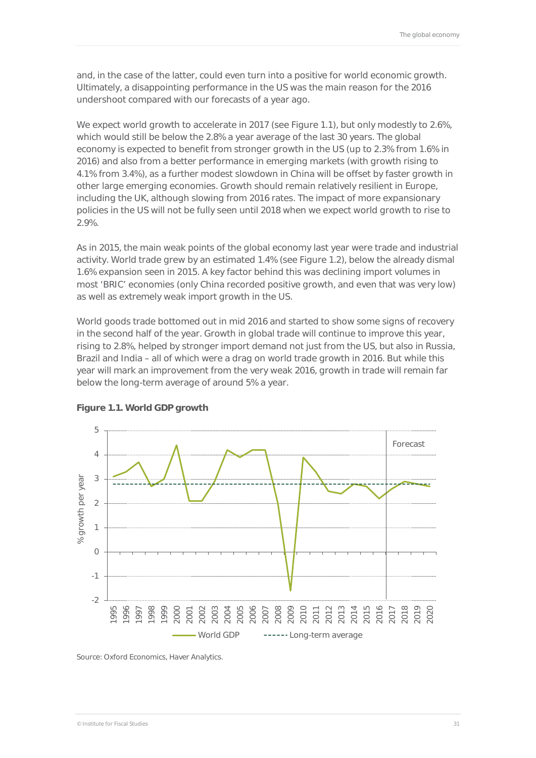and, in the case of the latter, could even turn into a positive for world economic growth. Ultimately, a disappointing performance in the US was the main reason for the 2016 undershoot compared with our forecasts of a year ago.

We expect world growth to accelerate in 2017 (see Figure 1.1), but only modestly to 2.6%, which would still be below the 2.8% a year average of the last 30 years. The global economy is expected to benefit from stronger growth in the US (up to 2.3% from 1.6% in 2016) and also from a better performance in emerging markets (with growth rising to 4.1% from 3.4%), as a further modest slowdown in China will be offset by faster growth in other large emerging economies. Growth should remain relatively resilient in Europe, including the UK, although slowing from 2016 rates. The impact of more expansionary policies in the US will not be fully seen until 2018 when we expect world growth to rise to 2.9%.

As in 2015, the main weak points of the global economy last year were trade and industrial activity. World trade grew by an estimated 1.4% (see Figure 1.2), below the already dismal 1.6% expansion seen in 2015. A key factor behind this was declining import volumes in most 'BRIC' economies (only China recorded positive growth, and even that was very low) as well as extremely weak import growth in the US.

World goods trade bottomed out in mid 2016 and started to show some signs of recovery in the second half of the year. Growth in global trade will continue to improve this year, rising to 2.8%, helped by stronger import demand not just from the US, but also in Russia, Brazil and India – all of which were a drag on world trade growth in 2016. But while this year will mark an improvement from the very weak 2016, growth in trade will remain far below the long-term average of around 5% a year.



#### **Figure 1.1. World GDP growth**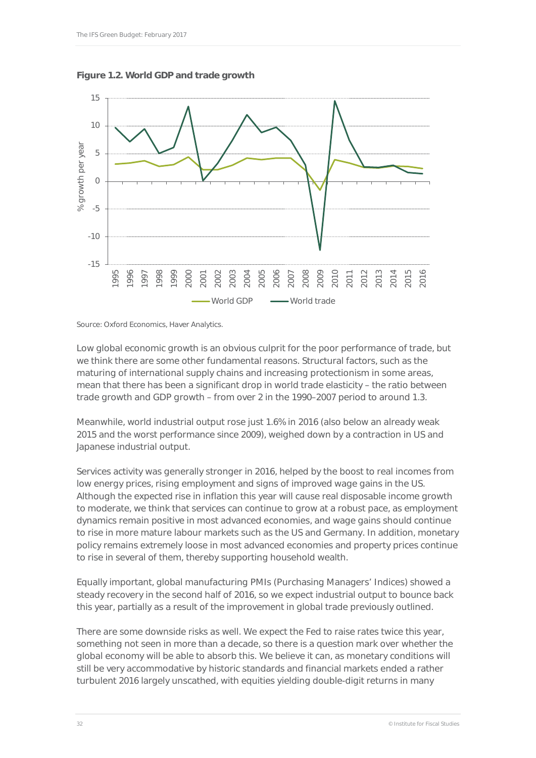



Source: Oxford Economics, Haver Analytics.

Low global economic growth is an obvious culprit for the poor performance of trade, but we think there are some other fundamental reasons. Structural factors, such as the maturing of international supply chains and increasing protectionism in some areas, mean that there has been a significant drop in world trade elasticity – the ratio between trade growth and GDP growth – from over 2 in the 1990–2007 period to around 1.3.

Meanwhile, world industrial output rose just 1.6% in 2016 (also below an already weak 2015 and the worst performance since 2009), weighed down by a contraction in US and Japanese industrial output.

Services activity was generally stronger in 2016, helped by the boost to real incomes from low energy prices, rising employment and signs of improved wage gains in the US. Although the expected rise in inflation this year will cause real disposable income growth to moderate, we think that services can continue to grow at a robust pace, as employment dynamics remain positive in most advanced economies, and wage gains should continue to rise in more mature labour markets such as the US and Germany. In addition, monetary policy remains extremely loose in most advanced economies and property prices continue to rise in several of them, thereby supporting household wealth.

Equally important, global manufacturing PMIs (Purchasing Managers' Indices) showed a steady recovery in the second half of 2016, so we expect industrial output to bounce back this year, partially as a result of the improvement in global trade previously outlined.

There are some downside risks as well. We expect the Fed to raise rates twice this year, something not seen in more than a decade, so there is a question mark over whether the global economy will be able to absorb this. We believe it can, as monetary conditions will still be very accommodative by historic standards and financial markets ended a rather turbulent 2016 largely unscathed, with equities yielding double-digit returns in many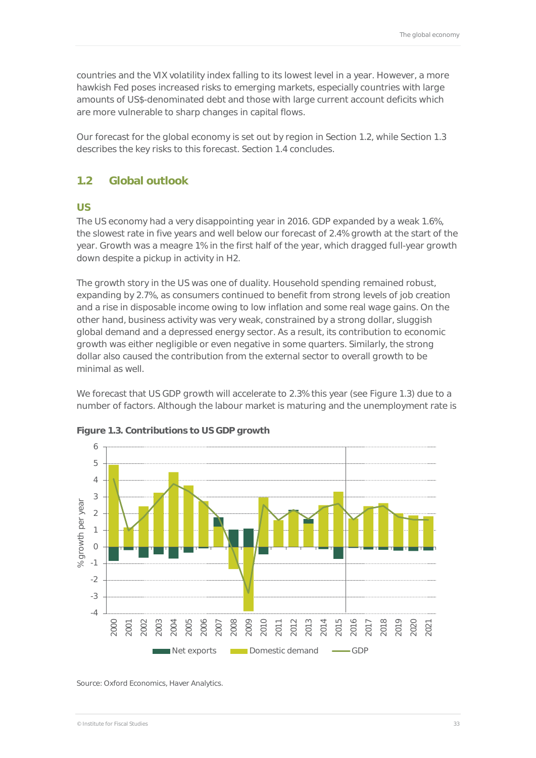countries and the VIX volatility index falling to its lowest level in a year. However, a more hawkish Fed poses increased risks to emerging markets, especially countries with large amounts of US\$-denominated debt and those with large current account deficits which are more vulnerable to sharp changes in capital flows.

Our forecast for the global economy is set out by region in Section 1.2, while Section 1.3 describes the key risks to this forecast. Section 1.4 concludes.

### **1.2 Global outlook**

#### **US**

The US economy had a very disappointing year in 2016. GDP expanded by a weak 1.6%, the slowest rate in five years and well below our forecast of 2.4% growth at the start of the year. Growth was a meagre 1% in the first half of the year, which dragged full-year growth down despite a pickup in activity in H2.

The growth story in the US was one of duality. Household spending remained robust, expanding by 2.7%, as consumers continued to benefit from strong levels of job creation and a rise in disposable income owing to low inflation and some real wage gains. On the other hand, business activity was very weak, constrained by a strong dollar, sluggish global demand and a depressed energy sector. As a result, its contribution to economic growth was either negligible or even negative in some quarters. Similarly, the strong dollar also caused the contribution from the external sector to overall growth to be minimal as well.

We forecast that US GDP growth will accelerate to 2.3% this year (see Figure 1.3) due to a number of factors. Although the labour market is maturing and the unemployment rate is



#### **Figure 1.3. Contributions to US GDP growth**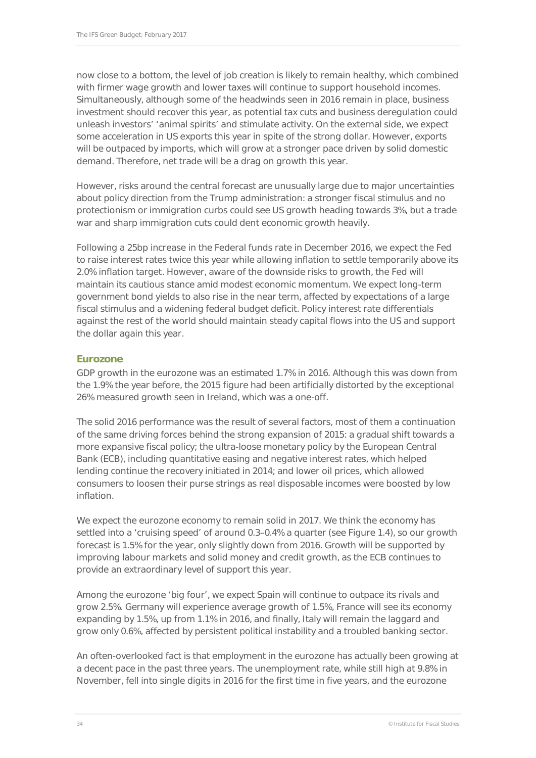now close to a bottom, the level of job creation is likely to remain healthy, which combined with firmer wage growth and lower taxes will continue to support household incomes. Simultaneously, although some of the headwinds seen in 2016 remain in place, business investment should recover this year, as potential tax cuts and business deregulation could unleash investors' 'animal spirits' and stimulate activity. On the external side, we expect some acceleration in US exports this year in spite of the strong dollar. However, exports will be outpaced by imports, which will grow at a stronger pace driven by solid domestic demand. Therefore, net trade will be a drag on growth this year.

However, risks around the central forecast are unusually large due to major uncertainties about policy direction from the Trump administration: a stronger fiscal stimulus and no protectionism or immigration curbs could see US growth heading towards 3%, but a trade war and sharp immigration cuts could dent economic growth heavily.

Following a 25bp increase in the Federal funds rate in December 2016, we expect the Fed to raise interest rates twice this year while allowing inflation to settle temporarily above its 2.0% inflation target. However, aware of the downside risks to growth, the Fed will maintain its cautious stance amid modest economic momentum. We expect long-term government bond yields to also rise in the near term, affected by expectations of a large fiscal stimulus and a widening federal budget deficit. Policy interest rate differentials against the rest of the world should maintain steady capital flows into the US and support the dollar again this year.

#### **Eurozone**

GDP growth in the eurozone was an estimated 1.7% in 2016. Although this was down from the 1.9% the year before, the 2015 figure had been artificially distorted by the exceptional 26% measured growth seen in Ireland, which was a one-off.

The solid 2016 performance was the result of several factors, most of them a continuation of the same driving forces behind the strong expansion of 2015: a gradual shift towards a more expansive fiscal policy; the ultra-loose monetary policy by the European Central Bank (ECB), including quantitative easing and negative interest rates, which helped lending continue the recovery initiated in 2014; and lower oil prices, which allowed consumers to loosen their purse strings as real disposable incomes were boosted by low inflation.

We expect the eurozone economy to remain solid in 2017. We think the economy has settled into a 'cruising speed' of around 0.3–0.4% a quarter (see Figure 1.4), so our growth forecast is 1.5% for the year, only slightly down from 2016. Growth will be supported by improving labour markets and solid money and credit growth, as the ECB continues to provide an extraordinary level of support this year.

Among the eurozone 'big four', we expect Spain will continue to outpace its rivals and grow 2.5%. Germany will experience average growth of 1.5%, France will see its economy expanding by 1.5%, up from 1.1% in 2016, and finally, Italy will remain the laggard and grow only 0.6%, affected by persistent political instability and a troubled banking sector.

An often-overlooked fact is that employment in the eurozone has actually been growing at a decent pace in the past three years. The unemployment rate, while still high at 9.8% in November, fell into single digits in 2016 for the first time in five years, and the eurozone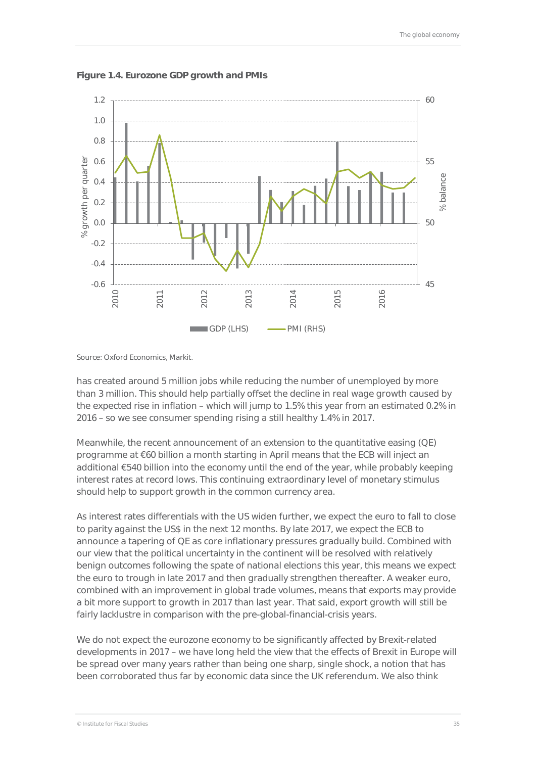

**Figure 1.4. Eurozone GDP growth and PMIs** 

Source: Oxford Economics, Markit.

has created around 5 million jobs while reducing the number of unemployed by more than 3 million. This should help partially offset the decline in real wage growth caused by the expected rise in inflation – which will jump to 1.5% this year from an estimated 0.2% in 2016 – so we see consumer spending rising a still healthy 1.4% in 2017.

Meanwhile, the recent announcement of an extension to the quantitative easing (QE) programme at €60 billion a month starting in April means that the ECB will inject an additional €540 billion into the economy until the end of the year, while probably keeping interest rates at record lows. This continuing extraordinary level of monetary stimulus should help to support growth in the common currency area.

As interest rates differentials with the US widen further, we expect the euro to fall to close to parity against the US\$ in the next 12 months. By late 2017, we expect the ECB to announce a tapering of QE as core inflationary pressures gradually build. Combined with our view that the political uncertainty in the continent will be resolved with relatively benign outcomes following the spate of national elections this year, this means we expect the euro to trough in late 2017 and then gradually strengthen thereafter. A weaker euro, combined with an improvement in global trade volumes, means that exports may provide a bit more support to growth in 2017 than last year. That said, export growth will still be fairly lacklustre in comparison with the pre-global-financial-crisis years.

We do not expect the eurozone economy to be significantly affected by Brexit-related developments in 2017 – we have long held the view that the effects of Brexit in Europe will be spread over many years rather than being one sharp, single shock, a notion that has been corroborated thus far by economic data since the UK referendum. We also think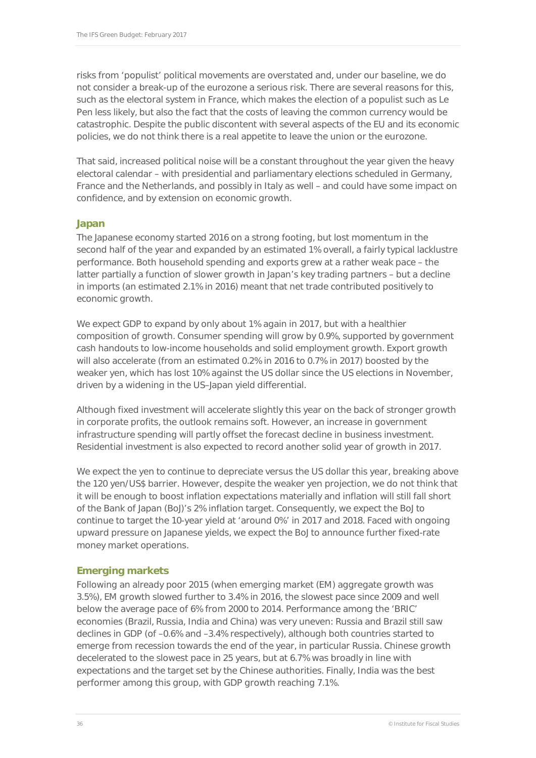risks from 'populist' political movements are overstated and, under our baseline, we do not consider a break-up of the eurozone a serious risk. There are several reasons for this, such as the electoral system in France, which makes the election of a populist such as Le Pen less likely, but also the fact that the costs of leaving the common currency would be catastrophic. Despite the public discontent with several aspects of the EU and its economic policies, we do not think there is a real appetite to leave the union or the eurozone.

That said, increased political noise will be a constant throughout the year given the heavy electoral calendar – with presidential and parliamentary elections scheduled in Germany, France and the Netherlands, and possibly in Italy as well – and could have some impact on confidence, and by extension on economic growth.

#### **Japan**

The Japanese economy started 2016 on a strong footing, but lost momentum in the second half of the year and expanded by an estimated 1% overall, a fairly typical lacklustre performance. Both household spending and exports grew at a rather weak pace – the latter partially a function of slower growth in Japan's key trading partners – but a decline in imports (an estimated 2.1% in 2016) meant that net trade contributed positively to economic growth.

We expect GDP to expand by only about 1% again in 2017, but with a healthier composition of growth. Consumer spending will grow by 0.9%, supported by government cash handouts to low-income households and solid employment growth. Export growth will also accelerate (from an estimated 0.2% in 2016 to 0.7% in 2017) boosted by the weaker yen, which has lost 10% against the US dollar since the US elections in November, driven by a widening in the US–Japan yield differential.

Although fixed investment will accelerate slightly this year on the back of stronger growth in corporate profits, the outlook remains soft. However, an increase in government infrastructure spending will partly offset the forecast decline in business investment. Residential investment is also expected to record another solid year of growth in 2017.

We expect the yen to continue to depreciate versus the US dollar this year, breaking above the 120 yen/US\$ barrier. However, despite the weaker yen projection, we do not think that it will be enough to boost inflation expectations materially and inflation will still fall short of the Bank of Japan (BoJ)'s 2% inflation target. Consequently, we expect the BoJ to continue to target the 10-year yield at 'around 0%' in 2017 and 2018. Faced with ongoing upward pressure on Japanese yields, we expect the BoJ to announce further fixed-rate money market operations.

#### **Emerging markets**

Following an already poor 2015 (when emerging market (EM) aggregate growth was 3.5%), EM growth slowed further to 3.4% in 2016, the slowest pace since 2009 and well below the average pace of 6% from 2000 to 2014. Performance among the 'BRIC' economies (Brazil, Russia, India and China) was very uneven: Russia and Brazil still saw declines in GDP (of –0.6% and –3.4% respectively), although both countries started to emerge from recession towards the end of the year, in particular Russia. Chinese growth decelerated to the slowest pace in 25 years, but at 6.7% was broadly in line with expectations and the target set by the Chinese authorities. Finally, India was the best performer among this group, with GDP growth reaching 7.1%.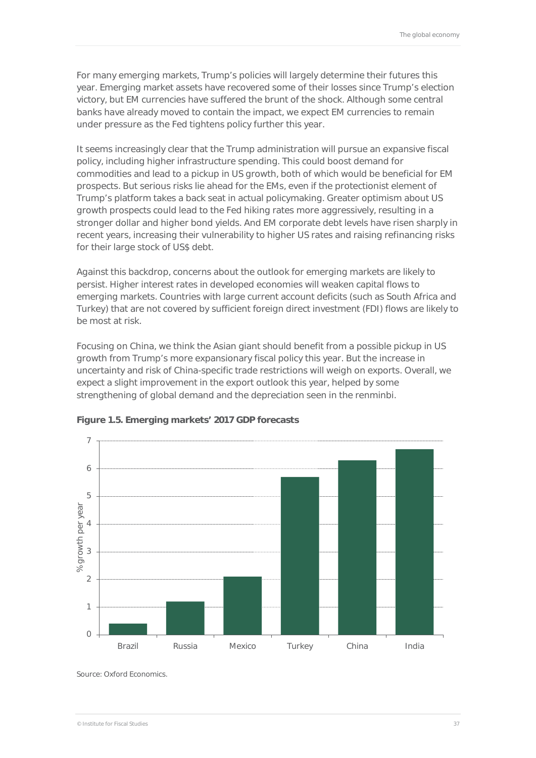For many emerging markets, Trump's policies will largely determine their futures this year. Emerging market assets have recovered some of their losses since Trump's election victory, but EM currencies have suffered the brunt of the shock. Although some central banks have already moved to contain the impact, we expect EM currencies to remain under pressure as the Fed tightens policy further this year.

It seems increasingly clear that the Trump administration will pursue an expansive fiscal policy, including higher infrastructure spending. This could boost demand for commodities and lead to a pickup in US growth, both of which would be beneficial for EM prospects. But serious risks lie ahead for the EMs, even if the protectionist element of Trump's platform takes a back seat in actual policymaking. Greater optimism about US growth prospects could lead to the Fed hiking rates more aggressively, resulting in a stronger dollar and higher bond yields. And EM corporate debt levels have risen sharply in recent years, increasing their vulnerability to higher US rates and raising refinancing risks for their large stock of US\$ debt.

Against this backdrop, concerns about the outlook for emerging markets are likely to persist. Higher interest rates in developed economies will weaken capital flows to emerging markets. Countries with large current account deficits (such as South Africa and Turkey) that are not covered by sufficient foreign direct investment (FDI) flows are likely to be most at risk.

Focusing on China, we think the Asian giant should benefit from a possible pickup in US growth from Trump's more expansionary fiscal policy this year. But the increase in uncertainty and risk of China-specific trade restrictions will weigh on exports. Overall, we expect a slight improvement in the export outlook this year, helped by some strengthening of global demand and the depreciation seen in the renminbi.



#### **Figure 1.5. Emerging markets' 2017 GDP forecasts**

Source: Oxford Economics.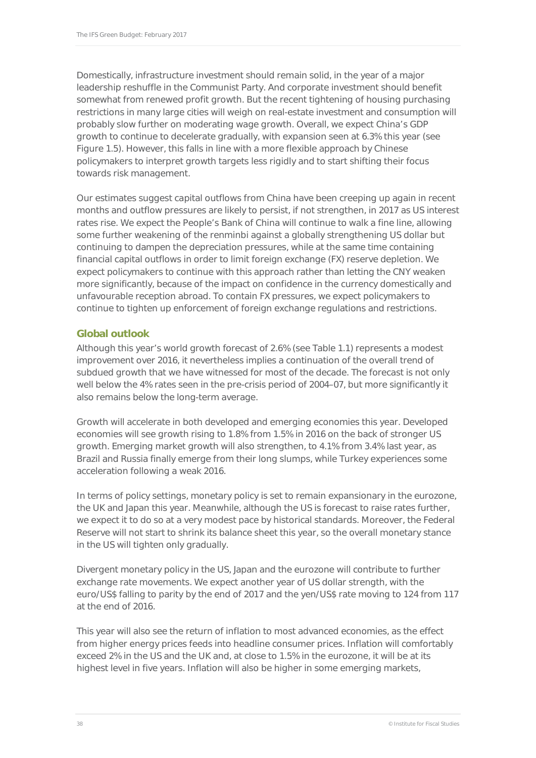Domestically, infrastructure investment should remain solid, in the year of a major leadership reshuffle in the Communist Party. And corporate investment should benefit somewhat from renewed profit growth. But the recent tightening of housing purchasing restrictions in many large cities will weigh on real-estate investment and consumption will probably slow further on moderating wage growth. Overall, we expect China's GDP growth to continue to decelerate gradually, with expansion seen at 6.3% this year (see Figure 1.5). However, this falls in line with a more flexible approach by Chinese policymakers to interpret growth targets less rigidly and to start shifting their focus towards risk management.

Our estimates suggest capital outflows from China have been creeping up again in recent months and outflow pressures are likely to persist, if not strengthen, in 2017 as US interest rates rise. We expect the People's Bank of China will continue to walk a fine line, allowing some further weakening of the renminbi against a globally strengthening US dollar but continuing to dampen the depreciation pressures, while at the same time containing financial capital outflows in order to limit foreign exchange (FX) reserve depletion. We expect policymakers to continue with this approach rather than letting the CNY weaken more significantly, because of the impact on confidence in the currency domestically and unfavourable reception abroad. To contain FX pressures, we expect policymakers to continue to tighten up enforcement of foreign exchange regulations and restrictions.

#### **Global outlook**

Although this year's world growth forecast of 2.6% (see Table 1.1) represents a modest improvement over 2016, it nevertheless implies a continuation of the overall trend of subdued growth that we have witnessed for most of the decade. The forecast is not only well below the 4% rates seen in the pre-crisis period of 2004–07, but more significantly it also remains below the long-term average.

Growth will accelerate in both developed and emerging economies this year. Developed economies will see growth rising to 1.8% from 1.5% in 2016 on the back of stronger US growth. Emerging market growth will also strengthen, to 4.1% from 3.4% last year, as Brazil and Russia finally emerge from their long slumps, while Turkey experiences some acceleration following a weak 2016.

In terms of policy settings, monetary policy is set to remain expansionary in the eurozone, the UK and Japan this year. Meanwhile, although the US is forecast to raise rates further, we expect it to do so at a very modest pace by historical standards. Moreover, the Federal Reserve will not start to shrink its balance sheet this year, so the overall monetary stance in the US will tighten only gradually.

Divergent monetary policy in the US, Japan and the eurozone will contribute to further exchange rate movements. We expect another year of US dollar strength, with the euro/US\$ falling to parity by the end of 2017 and the yen/US\$ rate moving to 124 from 117 at the end of 2016.

This year will also see the return of inflation to most advanced economies, as the effect from higher energy prices feeds into headline consumer prices. Inflation will comfortably exceed 2% in the US and the UK and, at close to 1.5% in the eurozone, it will be at its highest level in five years. Inflation will also be higher in some emerging markets,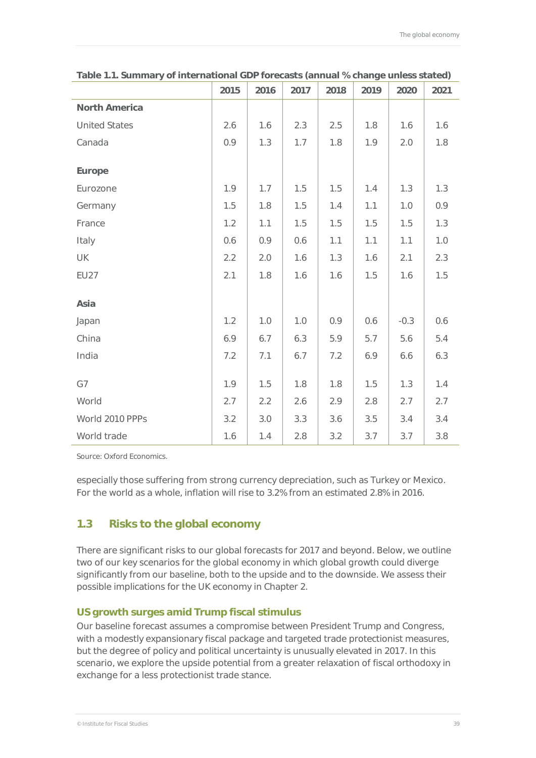|                      | 2015 | 2016 | 2017 | 2018 | 2019 | 2020   | 2021 |
|----------------------|------|------|------|------|------|--------|------|
| <b>North America</b> |      |      |      |      |      |        |      |
| <b>United States</b> | 2.6  | 1.6  | 2.3  | 2.5  | 1.8  | 1.6    | 1.6  |
| Canada               | 0.9  | 1.3  | 1.7  | 1.8  | 1.9  | 2.0    | 1.8  |
| Europe               |      |      |      |      |      |        |      |
| Eurozone             | 1.9  | 1.7  | 1.5  | 1.5  | 1.4  | 1.3    | 1.3  |
| Germany              | 1.5  | 1.8  | 1.5  | 1.4  | 1.1  | 1.0    | 0.9  |
| France               | 1.2  | 1.1  | 1.5  | 1.5  | 1.5  | 1.5    | 1.3  |
| Italy                | 0.6  | 0.9  | 0.6  | 1.1  | 1.1  | 1.1    | 1.0  |
| UK                   | 2.2  | 2.0  | 1.6  | 1.3  | 1.6  | 2.1    | 2.3  |
| <b>EU27</b>          | 2.1  | 1.8  | 1.6  | 1.6  | 1.5  | 1.6    | 1.5  |
| Asia                 |      |      |      |      |      |        |      |
| Japan                | 1.2  | 1.0  | 1.0  | 0.9  | 0.6  | $-0.3$ | 0.6  |
| China                | 6.9  | 6.7  | 6.3  | 5.9  | 5.7  | 5.6    | 5.4  |
| India                | 7.2  | 7.1  | 6.7  | 7.2  | 6.9  | 6.6    | 6.3  |
| G7                   | 1.9  | 1.5  | 1.8  | 1.8  | 1.5  | 1.3    | 1.4  |
| World                | 2.7  | 2.2  | 2.6  | 2.9  | 2.8  | 2.7    | 2.7  |
| World 2010 PPPs      | 3.2  | 3.0  | 3.3  | 3.6  | 3.5  | 3.4    | 3.4  |
| World trade          | 1.6  | 1.4  | 2.8  | 3.2  | 3.7  | 3.7    | 3.8  |

**Table 1.1. Summary of international GDP forecasts (annual % change unless stated)** 

Source: Oxford Economics.

especially those suffering from strong currency depreciation, such as Turkey or Mexico. For the world as a whole, inflation will rise to 3.2% from an estimated 2.8% in 2016.

## **1.3 Risks to the global economy**

There are significant risks to our global forecasts for 2017 and beyond. Below, we outline two of our key scenarios for the global economy in which global growth could diverge significantly from our baseline, both to the upside and to the downside. We assess their possible implications for the UK economy in Chapter 2.

#### **US growth surges amid Trump fiscal stimulus**

Our baseline forecast assumes a compromise between President Trump and Congress, with a modestly expansionary fiscal package and targeted trade protectionist measures, but the degree of policy and political uncertainty is unusually elevated in 2017. In this scenario, we explore the upside potential from a greater relaxation of fiscal orthodoxy in exchange for a less protectionist trade stance.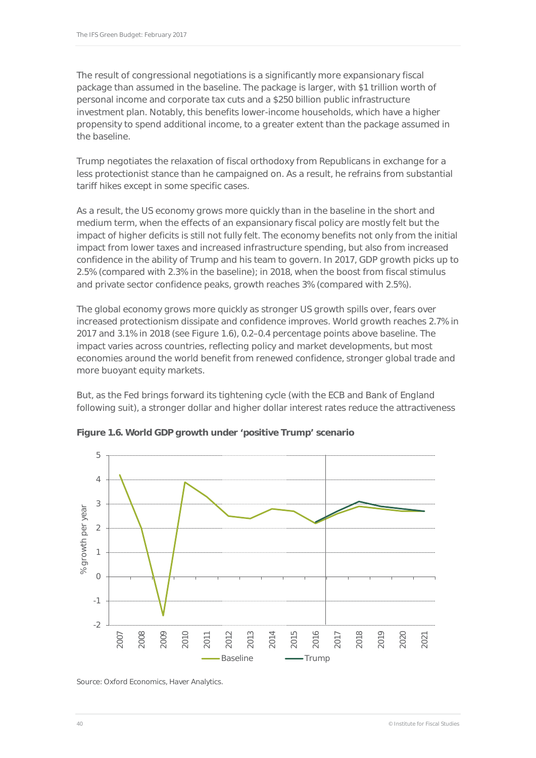The result of congressional negotiations is a significantly more expansionary fiscal package than assumed in the baseline. The package is larger, with \$1 trillion worth of personal income and corporate tax cuts and a \$250 billion public infrastructure investment plan. Notably, this benefits lower-income households, which have a higher propensity to spend additional income, to a greater extent than the package assumed in the baseline.

Trump negotiates the relaxation of fiscal orthodoxy from Republicans in exchange for a less protectionist stance than he campaigned on. As a result, he refrains from substantial tariff hikes except in some specific cases.

As a result, the US economy grows more quickly than in the baseline in the short and medium term, when the effects of an expansionary fiscal policy are mostly felt but the impact of higher deficits is still not fully felt. The economy benefits not only from the initial impact from lower taxes and increased infrastructure spending, but also from increased confidence in the ability of Trump and his team to govern. In 2017, GDP growth picks up to 2.5% (compared with 2.3% in the baseline); in 2018, when the boost from fiscal stimulus and private sector confidence peaks, growth reaches 3% (compared with 2.5%).

The global economy grows more quickly as stronger US growth spills over, fears over increased protectionism dissipate and confidence improves. World growth reaches 2.7% in 2017 and 3.1% in 2018 (see Figure 1.6), 0.2–0.4 percentage points above baseline. The impact varies across countries, reflecting policy and market developments, but most economies around the world benefit from renewed confidence, stronger global trade and more buoyant equity markets.

But, as the Fed brings forward its tightening cycle (with the ECB and Bank of England following suit), a stronger dollar and higher dollar interest rates reduce the attractiveness



**Figure 1.6. World GDP growth under 'positive Trump' scenario**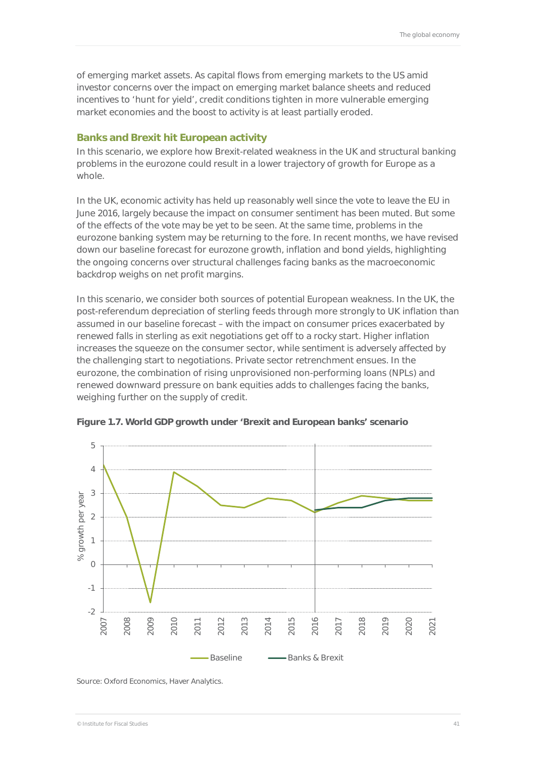of emerging market assets. As capital flows from emerging markets to the US amid investor concerns over the impact on emerging market balance sheets and reduced incentives to 'hunt for yield', credit conditions tighten in more vulnerable emerging market economies and the boost to activity is at least partially eroded.

#### **Banks and Brexit hit European activity**

In this scenario, we explore how Brexit-related weakness in the UK and structural banking problems in the eurozone could result in a lower trajectory of growth for Europe as a whole.

In the UK, economic activity has held up reasonably well since the vote to leave the EU in June 2016, largely because the impact on consumer sentiment has been muted. But some of the effects of the vote may be yet to be seen. At the same time, problems in the eurozone banking system may be returning to the fore. In recent months, we have revised down our baseline forecast for eurozone growth, inflation and bond yields, highlighting the ongoing concerns over structural challenges facing banks as the macroeconomic backdrop weighs on net profit margins.

In this scenario, we consider both sources of potential European weakness. In the UK, the post-referendum depreciation of sterling feeds through more strongly to UK inflation than assumed in our baseline forecast – with the impact on consumer prices exacerbated by renewed falls in sterling as exit negotiations get off to a rocky start. Higher inflation increases the squeeze on the consumer sector, while sentiment is adversely affected by the challenging start to negotiations. Private sector retrenchment ensues. In the eurozone, the combination of rising unprovisioned non-performing loans (NPLs) and renewed downward pressure on bank equities adds to challenges facing the banks, weighing further on the supply of credit.



**Figure 1.7. World GDP growth under 'Brexit and European banks' scenario**